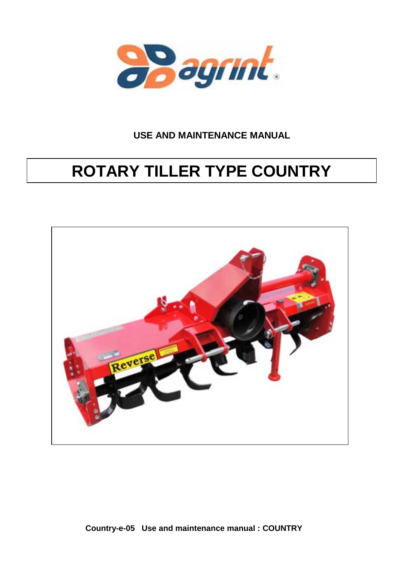

# **USE AND MAINTENANCE MANUAL**

# **ROTARY TILLER TYPE COUNTRY**



**Country-e-05 Use and maintenance manual : COUNTRY**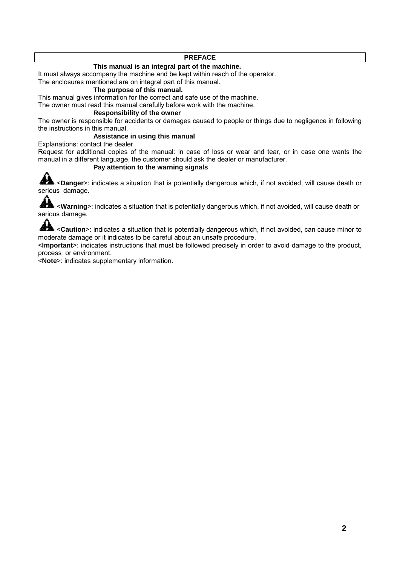#### **PREFACE**

#### **This manual is an integral part of the machine.**

It must always accompany the machine and be kept within reach of the operator.

The enclosures mentioned are on integral part of this manual.

# **The purpose of this manual.**

This manual gives information for the correct and safe use of the machine.

The owner must read this manual carefully before work with the machine.

#### **Responsibility of the owner**

The owner is responsible for accidents or damages caused to people or things due to negligence in following the instructions in this manual.

#### **Assistance in using this manual**

Explanations: contact the dealer.

Request for additional copies of the manual: in case of loss or wear and tear, or in case one wants the manual in a different language, the customer should ask the dealer or manufacturer.

#### **Pay attention to the warning signals**

**AL** <**Danger**>: indicates a situation that is potentially dangerous which, if not avoided, will cause death or serious damage.

**AL** <**Warning**>: indicates a situation that is potentially dangerous which, if not avoided, will cause death or serious damage.

**AL** <**Caution**>: indicates a situation that is potentially dangerous which, if not avoided, can cause minor to moderate damage or it indicates to be careful about an unsafe procedure.

<**Important**>: indicates instructions that must be followed precisely in order to avoid damage to the product, process or environment.

<**Note**>: indicates supplementary information.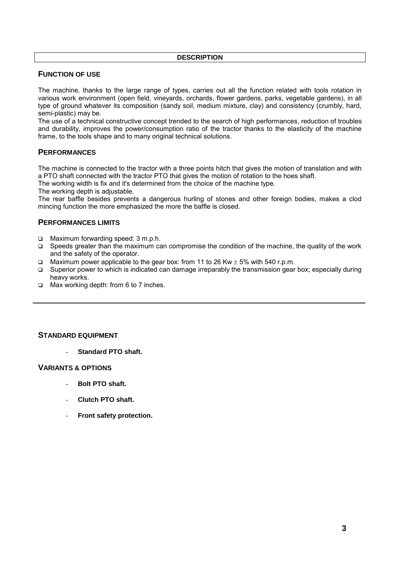#### **DESCRIPTION**

# **FUNCTION OF USE**

The machine, thanks to the large range of types, carries out all the function related with tools rotation in various work environment (open field, vineyards, orchards, flower gardens, parks, vegetable gardens), in all type of ground whatever its composition (sandy soil, medium mixture, clay) and consistency (crumbly, hard, semi-plastic) may be.

The use of a technical constructive concept trended to the search of high performances, reduction of troubles and durability, improves the power/consumption ratio of the tractor thanks to the elasticity of the machine frame, to the tools shape and to many original technical solutions.

# **PERFORMANCES**

The machine is connected to the tractor with a three points hitch that gives the motion of translation and with a PTO shaft connected with the tractor PTO that gives the motion of rotation to the hoes shaft.

The working width is fix and it's determined from the choice of the machine type.

The working depth is adjustable.

The rear baffle besides prevents a dangerous hurling of stones and other foreign bodies, makes a clod mincing function the more emphasized the more the baffle is closed.

# **PERFORMANCES LIMITS**

- □ Maximum forwarding speed: 3 m.p.h.
- □ Speeds greater than the maximum can compromise the condition of the machine, the quality of the work and the safety of the operator.
- Maximum power applicable to the gear box: from 11 to 26 Kw  $\pm$  5% with 540 r.p.m.
- $\Box$  Superior power to which is indicated can damage irreparably the transmission gear box; especially during heavy works.
- □ Max working depth: from 6 to 7 inches.

### **STANDARD EQUIPMENT**

- **Standard PTO shaft.** 

#### **VARIANTS & OPTIONS**

- Bolt PTO shaft.
- **Clutch PTO shaft.**
- **Front safety protection.**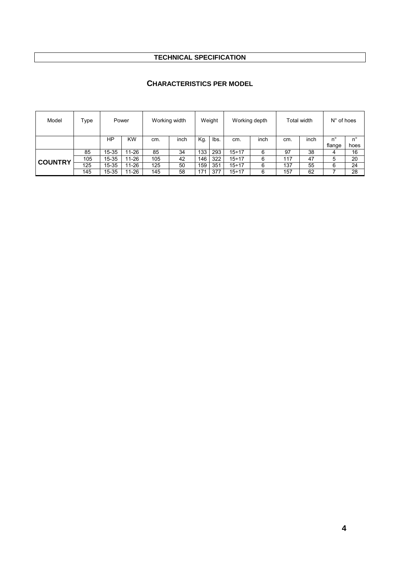# **TECHNICAL SPECIFICATION**

# **CHARACTERISTICS PER MODEL**

| Model          | Type |           | Power     |     | Working width |     | Weight |              | Working depth |     | Total width | $N^{\circ}$ of hoes |            |
|----------------|------|-----------|-----------|-----|---------------|-----|--------|--------------|---------------|-----|-------------|---------------------|------------|
|                |      | ΗP        | <b>KW</b> | cm. | inch          | Kg. | lbs.   | cm.          | inch          | cm. | inch        |                     | 'n         |
|                | 85   | $15 - 35$ | 11-26     | 85  | 34            | 133 | 293    | $15 \div 17$ | 6             | 97  | 38          | flange<br>4         | hoes<br>16 |
|                | 105  | $15 - 35$ | 11-26     | 105 | 42            | 146 | 322    | $15 \div 17$ | 6             | 117 | 47          | 5                   | 20         |
| <b>COUNTRY</b> | 125  | 15-35     | 11-26     | 125 | 50            | 159 | 351    | $15 \div 17$ | 6             | 137 | 55          | 6                   | 24         |
|                | 145  | $15 - 35$ | 11-26     | 145 | 58            | 171 | 377    | $15 \div 17$ | 6             | 157 | 62          |                     | 28         |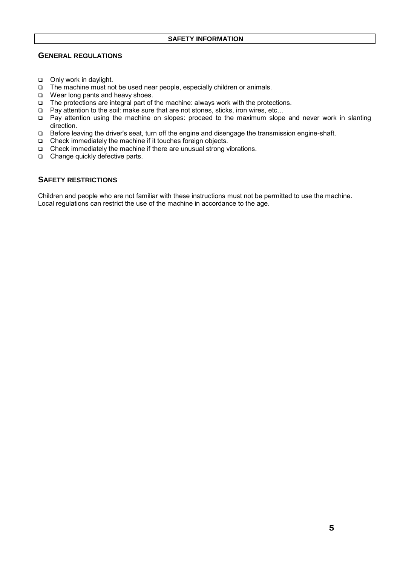#### **SAFETY INFORMATION**

# **GENERAL REGULATIONS**

- Only work in daylight.
- □ The machine must not be used near people, especially children or animals.
- □ Wear long pants and heavy shoes.
- $\Box$  The protections are integral part of the machine: always work with the protections.
- □ Pay attention to the soil: make sure that are not stones, sticks, iron wires, etc...
- □ Pay attention using the machine on slopes: proceed to the maximum slope and never work in slanting direction.
- □ Before leaving the driver's seat, turn off the engine and disengage the transmission engine-shaft.
- Check immediately the machine if it touches foreign objects.
- $\Box$  Check immediately the machine if there are unusual strong vibrations.
- □ Change quickly defective parts.

# **SAFETY RESTRICTIONS**

Children and people who are not familiar with these instructions must not be permitted to use the machine. Local regulations can restrict the use of the machine in accordance to the age.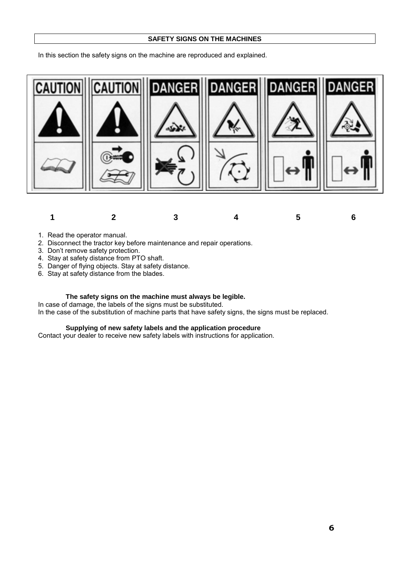#### **SAFETY SIGNS ON THE MACHINES**

In this section the safety signs on the machine are reproduced and explained.





- 1. Read the operator manual.
- 2. Disconnect the tractor key before maintenance and repair operations.
- 3. Don't remove safety protection.
- 4. Stay at safety distance from PTO shaft.
- 5. Danger of flying objects. Stay at safety distance.
- 6. Stay at safety distance from the blades.

#### **The safety signs on the machine must always be legible.**

In case of damage, the labels of the signs must be substituted.

In the case of the substitution of machine parts that have safety signs, the signs must be replaced.

#### **Supplying of new safety labels and the application procedure**

Contact your dealer to receive new safety labels with instructions for application.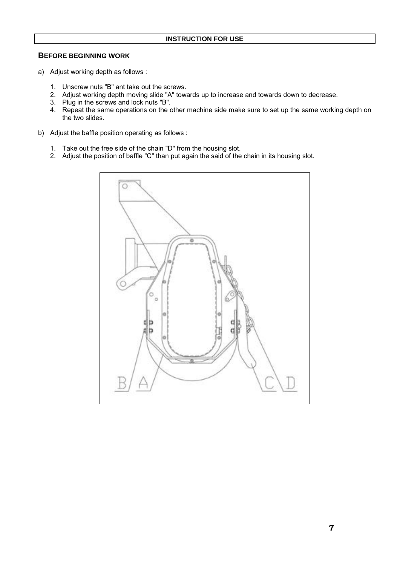# **BEFORE BEGINNING WORK**

- a) Adjust working depth as follows :
	- 1. Unscrew nuts "B" ant take out the screws.
	- 2. Adjust working depth moving slide "A" towards up to increase and towards down to decrease.
	- 3. Plug in the screws and lock nuts "B".
	- 4. Repeat the same operations on the other machine side make sure to set up the same working depth on the two slides.
- b) Adjust the baffle position operating as follows :
	- 1. Take out the free side of the chain "D" from the housing slot.
	- 2. Adjust the position of baffle "C" than put again the said of the chain in its housing slot.

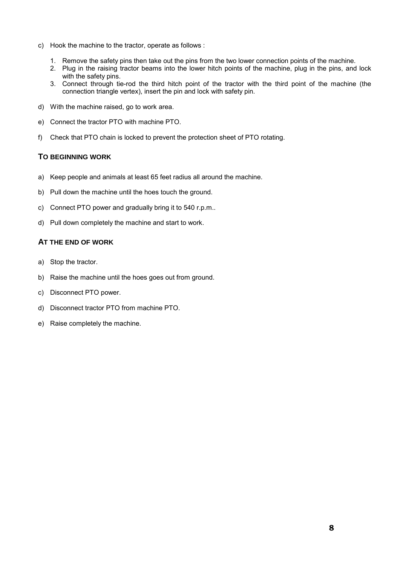- c) Hook the machine to the tractor, operate as follows :
	- 1. Remove the safety pins then take out the pins from the two lower connection points of the machine.
	- 2. Plug in the raising tractor beams into the lower hitch points of the machine, plug in the pins, and lock with the safety pins.
	- 3. Connect through tie-rod the third hitch point of the tractor with the third point of the machine (the connection triangle vertex), insert the pin and lock with safety pin.
- d) With the machine raised, go to work area.
- e) Connect the tractor PTO with machine PTO.
- f) Check that PTO chain is locked to prevent the protection sheet of PTO rotating.

# **TO BEGINNING WORK**

- a) Keep people and animals at least 65 feet radius all around the machine.
- b) Pull down the machine until the hoes touch the ground.
- c) Connect PTO power and gradually bring it to 540 r.p.m..
- d) Pull down completely the machine and start to work.

# **AT THE END OF WORK**

- a) Stop the tractor.
- b) Raise the machine until the hoes goes out from ground.
- c) Disconnect PTO power.
- d) Disconnect tractor PTO from machine PTO.
- e) Raise completely the machine.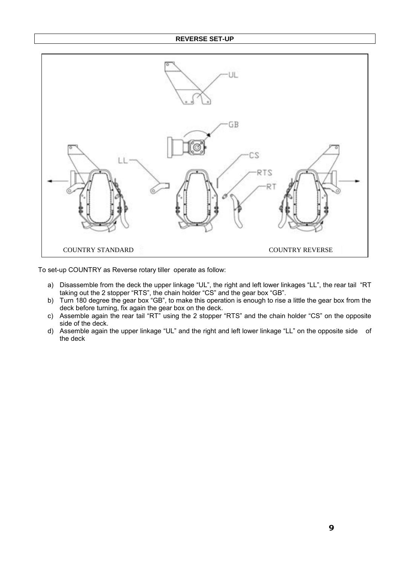#### **REVERSE SET-UP**



To set-up COUNTRY as Reverse rotary tiller operate as follow:

- a) Disassemble from the deck the upper linkage "UL", the right and left lower linkages "LL", the rear tail "RT taking out the 2 stopper "RTS", the chain holder "CS" and the gear box "GB".
- b) Turn 180 degree the gear box "GB", to make this operation is enough to rise a little the gear box from the deck before turning, fix again the gear box on the deck.
- c) Assemble again the rear tail "RT" using the 2 stopper "RTS" and the chain holder "CS" on the opposite side of the deck.
- d) Assemble again the upper linkage "UL" and the right and left lower linkage "LL" on the opposite side of the deck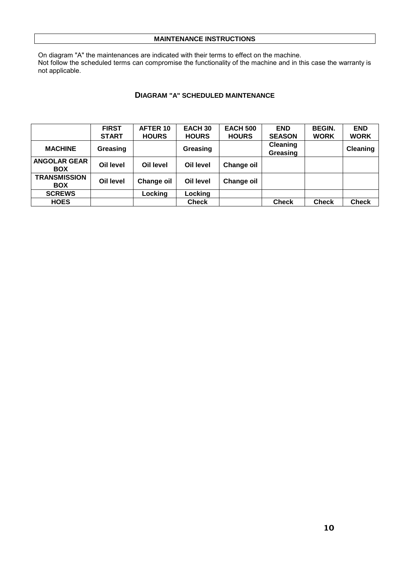#### **MAINTENANCE INSTRUCTIONS**

On diagram "A" the maintenances are indicated with their terms to effect on the machine. Not follow the scheduled terms can compromise the functionality of the machine and in this case the warranty is not applicable.

# **DIAGRAM "A" SCHEDULED MAINTENANCE**

|                                   | <b>FIRST</b> | AFTER 10     | EACH <sub>30</sub> | <b>EACH 500</b>   | <b>END</b>           | <b>BEGIN.</b> | <b>END</b>      |
|-----------------------------------|--------------|--------------|--------------------|-------------------|----------------------|---------------|-----------------|
|                                   | <b>START</b> | <b>HOURS</b> | <b>HOURS</b>       | <b>HOURS</b>      | <b>SEASON</b>        | <b>WORK</b>   | <b>WORK</b>     |
| <b>MACHINE</b>                    | Greasing     |              | Greasing           |                   | Cleaning<br>Greasing |               | <b>Cleaning</b> |
| <b>ANGOLAR GEAR</b><br><b>BOX</b> | Oil level    | Oil level    | Oil level          | <b>Change oil</b> |                      |               |                 |
| <b>TRANSMISSION</b><br><b>BOX</b> | Oil level    | Change oil   | Oil level          | <b>Change oil</b> |                      |               |                 |
| <b>SCREWS</b>                     |              | Locking      | Locking            |                   |                      |               |                 |
| <b>HOES</b>                       |              |              | <b>Check</b>       |                   | <b>Check</b>         | <b>Check</b>  | <b>Check</b>    |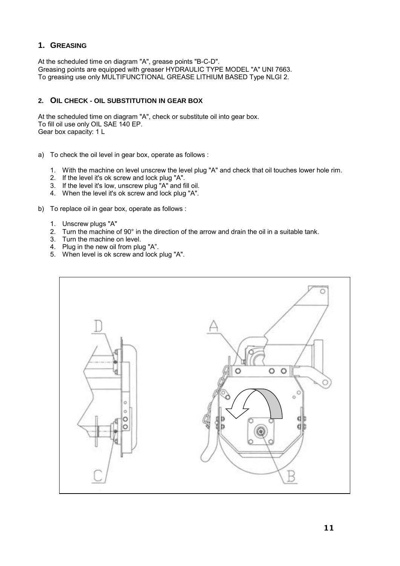# **1. GREASING**

At the scheduled time on diagram "A", grease points "B-C-D". Greasing points are equipped with greaser HYDRAULIC TYPE MODEL "A" UNI 7663. To greasing use only MULTIFUNCTIONAL GREASE LITHIUM BASED Type NLGI 2.

# **2. OIL CHECK - OIL SUBSTITUTION IN GEAR BOX**

At the scheduled time on diagram "A", check or substitute oil into gear box. To fill oil use only OIL SAE 140 EP. Gear box capacity: 1 L

- a) To check the oil level in gear box, operate as follows :
	- 1. With the machine on level unscrew the level plug "A" and check that oil touches lower hole rim.
	- 2. If the level it's ok screw and lock plug "A".
	- 3. If the level it's low, unscrew plug "A" and fill oil.
	- 4. When the level it's ok screw and lock plug "A".
- b) To replace oil in gear box, operate as follows :
	- 1. Unscrew plugs "A"
	- 2. Turn the machine of 90° in the direction of the arrow and drain the oil in a suitable tank.
	- 3. Turn the machine on level.
	- 4. Plug in the new oil from plug "A".
	- 5. When level is ok screw and lock plug "A".

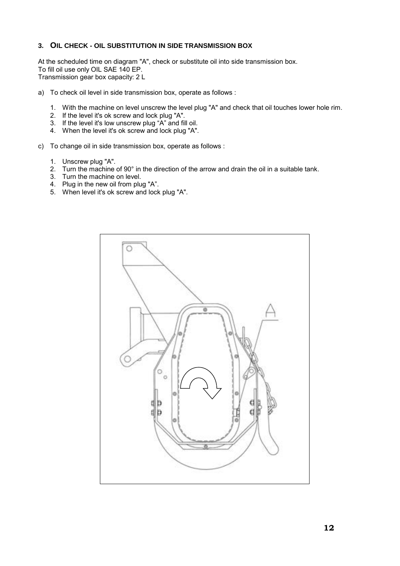#### **3. OIL CHECK - OIL SUBSTITUTION IN SIDE TRANSMISSION BOX**

At the scheduled time on diagram "A", check or substitute oil into side transmission box. To fill oil use only OIL SAE 140 EP. Transmission gear box capacity: 2 L

- a) To check oil level in side transmission box, operate as follows :
	- 1. With the machine on level unscrew the level plug "A" and check that oil touches lower hole rim.
	- 2. If the level it's ok screw and lock plug "A".
	- 3. If the level it's low unscrew plug "A" and fill oil.
	- 4. When the level it's ok screw and lock plug "A".
- c) To change oil in side transmission box, operate as follows :
	- 1. Unscrew plug "A".
	- 2. Turn the machine of 90° in the direction of the arrow and drain the oil in a suitable tank.
	- 3. Turn the machine on level.
	- 4. Plug in the new oil from plug "A".
	- 5. When level it's ok screw and lock plug "A".

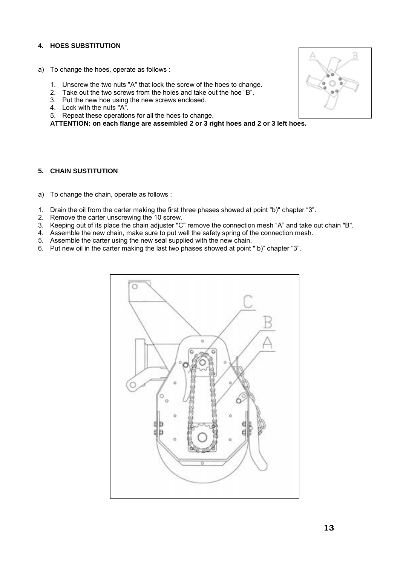# **4. HOES SUBSTITUTION**

- a) To change the hoes, operate as follows :
	- 1. Unscrew the two nuts "A" that lock the screw of the hoes to change.
	- 2. Take out the two screws from the holes and take out the hoe "B".
	- 3. Put the new hoe using the new screws enclosed.
	- 4. Lock with the nuts "A".
	- 5. Repeat these operations for all the hoes to change.

**ATTENTION: on each flange are assembled 2 or 3 right hoes and 2 or 3 left hoes.** 

#### **5. CHAIN SUSTITUTION**

- a) To change the chain, operate as follows :
- 1. Drain the oil from the carter making the first three phases showed at point "b)" chapter "3".
- 2. Remove the carter unscrewing the 10 screw.
- 3. Keeping out of its place the chain adjuster "C" remove the connection mesh "A" and take out chain "B".
- 4. Assemble the new chain, make sure to put well the safety spring of the connection mesh.
- 5. Assemble the carter using the new seal supplied with the new chain.
- 6. Put new oil in the carter making the last two phases showed at point " b)" chapter "3".



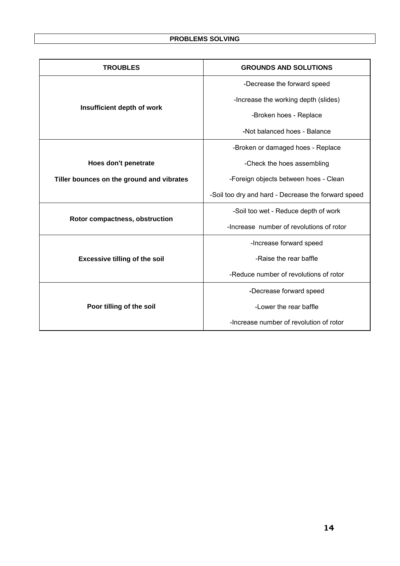| <b>TROUBLES</b>                           | <b>GROUNDS AND SOLUTIONS</b>                        |  |  |  |  |
|-------------------------------------------|-----------------------------------------------------|--|--|--|--|
|                                           | -Decrease the forward speed                         |  |  |  |  |
|                                           | -Increase the working depth (slides)                |  |  |  |  |
| Insufficient depth of work                | -Broken hoes - Replace                              |  |  |  |  |
|                                           | -Not balanced hoes - Balance                        |  |  |  |  |
|                                           | -Broken or damaged hoes - Replace                   |  |  |  |  |
| Hoes don't penetrate                      | -Check the hoes assembling                          |  |  |  |  |
| Tiller bounces on the ground and vibrates | -Foreign objects between hoes - Clean               |  |  |  |  |
|                                           | -Soil too dry and hard - Decrease the forward speed |  |  |  |  |
|                                           | -Soil too wet - Reduce depth of work                |  |  |  |  |
| Rotor compactness, obstruction            | -Increase number of revolutions of rotor            |  |  |  |  |
|                                           | -Increase forward speed                             |  |  |  |  |
| <b>Excessive tilling of the soil</b>      | -Raise the rear baffle                              |  |  |  |  |
|                                           | -Reduce number of revolutions of rotor              |  |  |  |  |
|                                           | -Decrease forward speed                             |  |  |  |  |
| Poor tilling of the soil                  | -Lower the rear baffle                              |  |  |  |  |
|                                           | -Increase number of revolution of rotor             |  |  |  |  |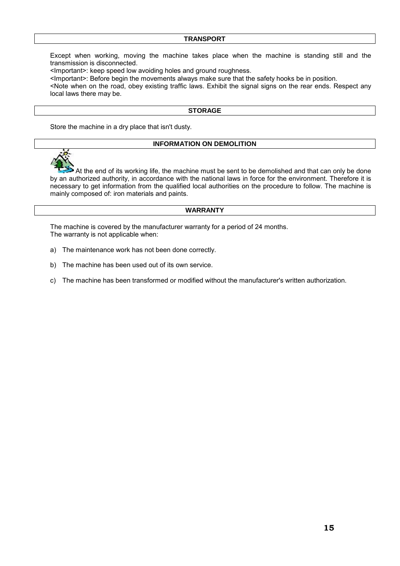#### **TRANSPORT**

Except when working, moving the machine takes place when the machine is standing still and the transmission is disconnected.

<Important>: keep speed low avoiding holes and ground roughness.

<Important>: Before begin the movements always make sure that the safety hooks be in position.

<Note when on the road, obey existing traffic laws. Exhibit the signal signs on the rear ends. Respect any local laws there may be.

#### **STORAGE**

Store the machine in a dry place that isn't dusty.

#### **INFORMATION ON DEMOLITION**



 At the end of its working life, the machine must be sent to be demolished and that can only be done by an authorized authority, in accordance with the national laws in force for the environment. Therefore it is necessary to get information from the qualified local authorities on the procedure to follow. The machine is mainly composed of: iron materials and paints.

#### **WARRANTY**

The machine is covered by the manufacturer warranty for a period of 24 months. The warranty is not applicable when:

- a) The maintenance work has not been done correctly.
- b) The machine has been used out of its own service.
- c) The machine has been transformed or modified without the manufacturer's written authorization.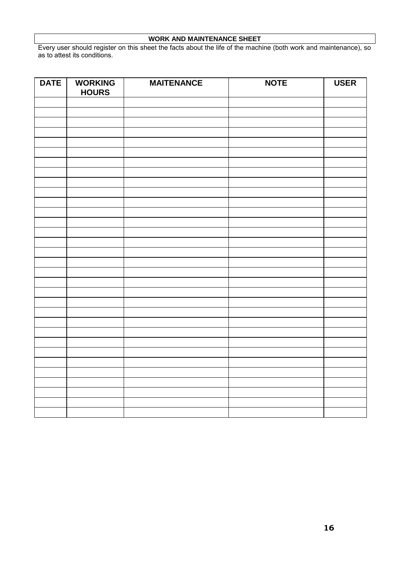# **WORK AND MAINTENANCE SHEET**

Every user should register on this sheet the facts about the life of the machine (both work and maintenance), so as to attest its conditions.

| <b>DATE</b> | <b>WORKING</b><br><b>HOURS</b> | <b>MAITENANCE</b> | <b>NOTE</b> | <b>USER</b> |
|-------------|--------------------------------|-------------------|-------------|-------------|
|             |                                |                   |             |             |
|             |                                |                   |             |             |
|             |                                |                   |             |             |
|             |                                |                   |             |             |
|             |                                |                   |             |             |
|             |                                |                   |             |             |
|             |                                |                   |             |             |
|             |                                |                   |             |             |
|             |                                |                   |             |             |
|             |                                |                   |             |             |
|             |                                |                   |             |             |
|             |                                |                   |             |             |
|             |                                |                   |             |             |
|             |                                |                   |             |             |
|             |                                |                   |             |             |
|             |                                |                   |             |             |
|             |                                |                   |             |             |
|             |                                |                   |             |             |
|             |                                |                   |             |             |
|             |                                |                   |             |             |
|             |                                |                   |             |             |
|             |                                |                   |             |             |
|             |                                |                   |             |             |
|             |                                |                   |             |             |
|             |                                |                   |             |             |
|             |                                |                   |             |             |
|             |                                |                   |             |             |
|             |                                |                   |             |             |
|             |                                |                   |             |             |
|             |                                |                   |             |             |
|             |                                |                   |             |             |
|             |                                |                   |             |             |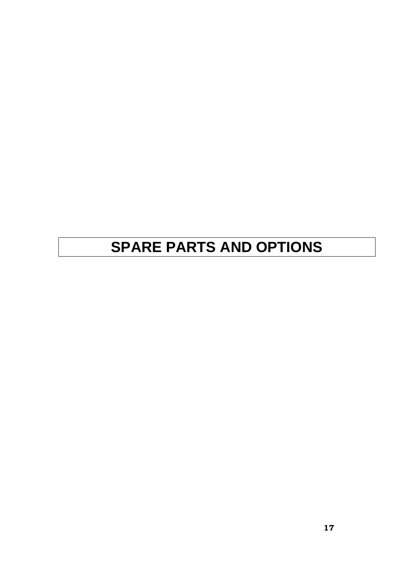# **SPARE PARTS AND OPTIONS**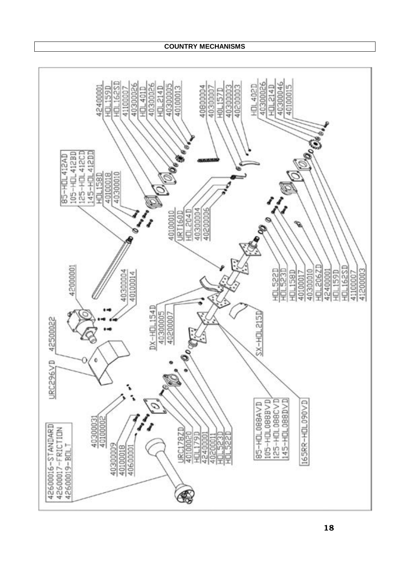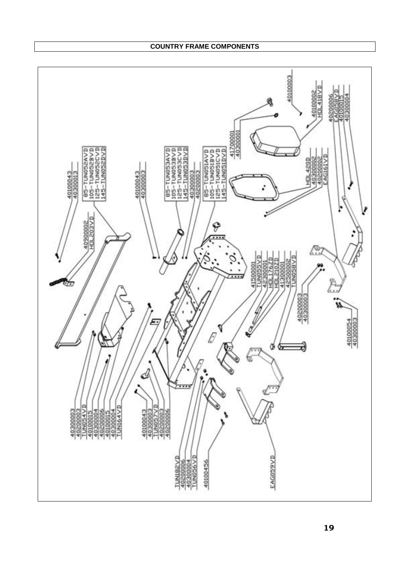